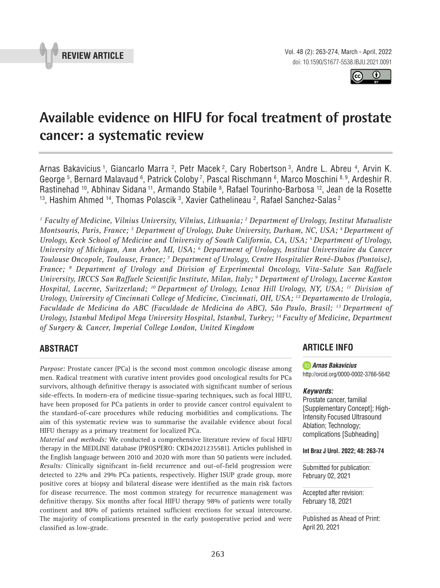



# **Available evidence on HIFU for focal treatment of prostate cancer: a systematic review \_\_\_\_\_\_\_\_\_\_\_\_\_\_\_\_\_\_\_\_\_\_\_\_\_\_\_\_\_\_\_\_\_\_\_\_\_\_\_\_\_\_\_\_\_\_\_**

Arnas Bakavicius <sup>1</sup>, Giancarlo Marra <sup>2</sup>, Petr Macek <sup>2</sup>, Cary Robertson <sup>3</sup>, Andre L. Abreu <sup>4</sup>, Arvin K. George 5, Bernard Malavaud 6, Patrick Coloby 7, Pascal Rischmann 6, Marco Moschini 8,9, Ardeshir R. Rastinehad <sup>10</sup>, Abhinav Sidana <sup>11</sup>, Armando Stabile <sup>8</sup>, Rafael Tourinho-Barbosa <sup>12</sup>, Jean de la Rosette  $^{\rm 13}$ , Hashim Ahmed  $^{\rm 14}$ , Thomas Polascik  $^{\rm 3}$ , Xavier Cathelineau  $^{\rm 2}$ , Rafael Sanchez-Salas  $^{\rm 2}$ 

*1 Faculty of Medicine, Vilnius University, Vilnius, Lithuania; 2 Department of Urology, Institut Mutualiste Montsouris, Paris, France; 3 Department of Urology, Duke University, Durham, NC, USA; 4 Department of Urology, Keck School of Medicine and University of South California, CA, USA; 5 Department of Urology, University of Michigan, Ann Arbor, MI, USA; 6 Department of Urology, Institut Universitaire du Cancer Toulouse Oncopole, Toulouse, France; 7 Department of Urology, Centre Hospitalier René-Dubos (Pontoise), France; 8 Department of Urology and Division of Experimental Oncology, Vita-Salute San Raffaele University, IRCCS San Raffaele Scientific Institute, Milan, Italy; 9 Department of Urology, Lucerne Kanton Hospital, Lucerne, Switzerland; 10 Department of Urology, Lenox Hill Urology, NY, USA; 11 Division of Urology, University of Cincinnati College of Medicine, Cincinnati, OH, USA; 12 Departamento de Urologia, Faculdade de Medicina do ABC (Faculdade de Medicina do ABC), São Paulo, Brasil; 13 Department of Urology, Istanbul Medipol Mega University Hospital, Istanbul, Turkey; 14 Faculty of Medicine, Department of Surgery* & *Cancer, Imperial College London, United Kingdom*

# **ABSTRACT**

*Purpose:* Prostate cancer (PCa) is the second most common oncologic disease among men. Radical treatment with curative intent provides good oncological results for PCa survivors, although definitive therapy is associated with significant number of serious side-effects. In modern-era of medicine tissue-sparing techniques, such as focal HIFU, have been proposed for PCa patients in order to provide cancer control equivalent to the standard-of-care procedures while reducing morbidities and complications. The aim of this systematic review was to summarise the available evidence about focal HIFU therapy as a primary treatment for localized PCa.

*Material and methods:* We conducted a comprehensive literature review of focal HIFU therapy in the MEDLINE database (PROSPERO: CRD42021235581). Articles published in the English language between 2010 and 2020 with more than 50 patients were included. *Results:* Clinically significant in-field recurrence and out-of-field progression were detected to 22% and 29% PCa patients, respectively. Higher ISUP grade group, more positive cores at biopsy and bilateral disease were identified as the main risk factors for disease recurrence. The most common strategy for recurrence management was definitive therapy. Six months after focal HIFU therapy 98% of patients were totally continent and 80% of patients retained sufficient erections for sexual intercourse. The majority of complications presented in the early postoperative period and were classified as low-grade.

# **ARTICLE INFO**

*Arnas Bakavicius* http://orcid.org/0000-0002-3766-5642

#### *Keywords:*

Prostate cancer, familial [Supplementary Concept]; High-Intensity Focused Ultrasound Ablation; Technology; complications [Subheading]

**Int Braz J Urol. 2022; 48: 263-74**

Submitted for publication: February 02, 2021

Accepted after revision: February 18, 2021

Published as Ahead of Print: April 20, 2021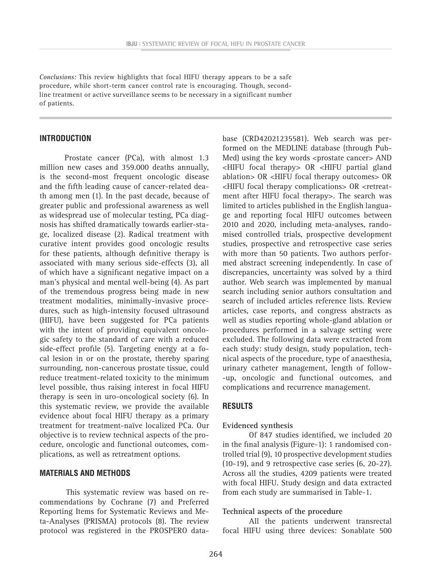*Conclusions:* This review highlights that focal HIFU therapy appears to be a safe procedure, while short-term cancer control rate is encouraging. Though, secondline treatment or active surveillance seems to be necessary in a significant number of patients.

#### **INTRODUCTION**

Prostate cancer (PCa), with almost 1.3 million new cases and 359.000 deaths annually, is the second-most frequent oncologic disease and the fifth leading cause of cancer-related death among men (1). In the past decade, because of greater public and professional awareness as well as widespread use of molecular testing, PCa diagnosis has shifted dramatically towards earlier-stage, localized disease (2). Radical treatment with curative intent provides good oncologic results for these patients, although definitive therapy is associated with many serious side-effects (3), all of which have a significant negative impact on a man's physical and mental well-being (4). As part of the tremendous progress being made in new treatment modalities, minimally-invasive procedures, such as high-intensity focused ultrasound (HIFU), have been suggested for PCa patients with the intent of providing equivalent oncologic safety to the standard of care with a reduced side-effect profile (5). Targeting energy at a focal lesion in or on the prostate, thereby sparing surrounding, non-cancerous prostate tissue, could reduce treatment-related toxicity to the minimum level possible, thus raising interest in focal HIFU therapy is seen in uro-oncological society (6). In this systematic review, we provide the available evidence about focal HIFU therapy as a primary treatment for treatment-naïve localized PCa. Our objective is to review technical aspects of the procedure, oncologic and functional outcomes, complications, as well as retreatment options.

## **MATERIALS AND METHODS**

This systematic review was based on recommendations by Cochrane (7) and Preferred Reporting Items for Systematic Reviews and Meta-Analyses (PRISMA) protocols (8). The review protocol was registered in the PROSPERO database (CRD42021235581). Web search was performed on the MEDLINE database (through Pub-Med) using the key words <prostate cancer> AND <HIFU focal therapy> OR <HIFU partial gland ablation> OR <HIFU focal therapy outcomes> OR <HIFU focal therapy complications> OR <retreatment after HIFU focal therapy>. The search was limited to articles published in the English language and reporting focal HIFU outcomes between 2010 and 2020, including meta-analyses, randomised controlled trials, prospective development studies, prospective and retrospective case series with more than 50 patients. Two authors performed abstract screening independently. In case of discrepancies, uncertainty was solved by a third author. Web search was implemented by manual search including senior authors consultation and search of included articles reference lists. Review articles, case reports, and congress abstracts as well as studies reporting whole-gland ablation or procedures performed in a salvage setting were excluded. The following data were extracted from each study: study design, study population, technical aspects of the procedure, type of anaesthesia, urinary catheter management, length of follow- -up, oncologic and functional outcomes, and complications and recurrence management.

#### **RESULTS**

#### **Evidenced synthesis**

Of 847 studies identified, we included 20 in the final analysis (Figure-1): 1 randomised controlled trial (9), 10 prospective development studies (10-19), and 9 retrospective case series (6, 20-27). Across all the studies, 4209 patients were treated with focal HIFU. Study design and data extracted from each study are summarised in Table-1.

#### **Technical aspects of the procedure**

All the patients underwent transrectal focal HIFU using three devices: Sonablate 500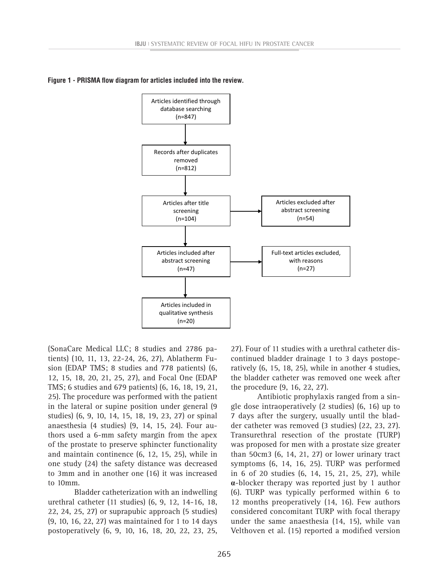



(SonaCare Medical LLC; 8 studies and 2786 patients) (10, 11, 13, 22-24, 26, 27), Ablatherm Fusion (EDAP TMS; 8 studies and 778 patients) (6, 12, 15, 18, 20, 21, 25, 27), and Focal One (EDAP TMS; 6 studies and 679 patients) (6, 16, 18, 19, 21, 25). The procedure was performed with the patient in the lateral or supine position under general (9 studies) (6, 9, 10, 14, 15, 18, 19, 23, 27) or spinal anaesthesia (4 studies) (9, 14, 15, 24). Four authors used a 6-mm safety margin from the apex of the prostate to preserve sphincter functionality and maintain continence (6, 12, 15, 25), while in one study (24) the safety distance was decreased to 3mm and in another one (16) it was increased to 10mm.

Bladder catheterization with an indwelling urethral catheter (11 studies) (6, 9, 12, 14-16, 18, 22, 24, 25, 27) or suprapubic approach (5 studies) (9, 10, 16, 22, 27) was maintained for 1 to 14 days postoperatively (6, 9, 10, 16, 18, 20, 22, 23, 25,

27). Four of 11 studies with a urethral catheter discontinued bladder drainage 1 to 3 days postoperatively (6, 15, 18, 25), while in another 4 studies, the bladder catheter was removed one week after the procedure (9, 16, 22, 27).

Antibiotic prophylaxis ranged from a single dose intraoperatively (2 studies) (6, 16) up to 7 days after the surgery, usually until the bladder catheter was removed (3 studies) (22, 23, 27). Transurethral resection of the prostate (TURP) was proposed for men with a prostate size greater than 50cm3 (6, 14, 21, 27) or lower urinary tract symptoms (6, 14, 16, 25). TURP was performed in 6 of 20 studies (6, 14, 15, 21, 25, 27), while **α**-blocker therapy was reported just by 1 author (6). TURP was typically performed within 6 to 12 months preoperatively (14, 16). Few authors considered concomitant TURP with focal therapy under the same anaesthesia (14, 15), while van Velthoven et al. (15) reported a modified version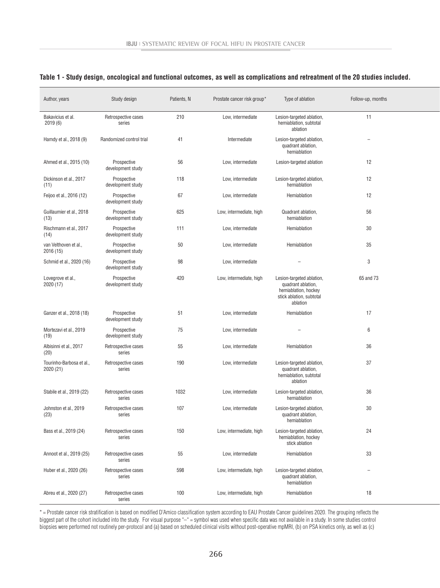#### **Table 1 - Study design, oncological and functional outcomes, as well as complications and retreatment of the 20 studies included.**

| Author, years                         | Study design                     | Patients, N | Prostate cancer risk group* | Type of ablation                                                                                                | Follow-up, months |
|---------------------------------------|----------------------------------|-------------|-----------------------------|-----------------------------------------------------------------------------------------------------------------|-------------------|
| Bakavicius et al.<br>2019(6)          | Retrospective cases<br>series    | 210         | Low, intermediate           | Lesion-targeted ablation,<br>hemiablation, subtotal<br>ablation                                                 | 11                |
| Hamdy et al., 2018 (9)                | Randomized control trial         | 41          | Intermediate                | Lesion-targeted ablation,<br>quadrant ablation,<br>hemiablation                                                 |                   |
| Ahmed et al., 2015 (10)               | Prospective<br>development study | 56          | Low, intermediate           | Lesion-targeted ablation                                                                                        | 12                |
| Dickinson et al., 2017<br>(11)        | Prospective<br>development study | 118         | Low, intermediate           | Lesion-targeted ablation,<br>hemiablation                                                                       | 12                |
| Feijoo et al., 2016 (12)              | Prospective<br>development study | 67          | Low, intermediate           | Hemiablation                                                                                                    | 12                |
| Guillaumier et al., 2018<br>(13)      | Prospective<br>development study | 625         | Low, intermediate, high     | Quadrant ablation,<br>hemiablation                                                                              | 56                |
| Rischmann et al., 2017<br>(14)        | Prospective<br>development study | 111         | Low, intermediate           | Hemiablation                                                                                                    | 30                |
| van Velthoven et al.,<br>2016 (15)    | Prospective<br>development study | 50          | Low, intermediate           | Hemiablation                                                                                                    | 35                |
| Schmid et al., 2020 (16)              | Prospective<br>development study | 98          | Low, intermediate           | $\overline{\phantom{m}}$                                                                                        | 3                 |
| Lovegrove et al.,<br>2020 (17)        | Prospective<br>development study | 420         | Low, intermediate, high     | Lesion-targeted ablation,<br>quadrant ablation,<br>hemiablation, hockey<br>stick ablation, subtotal<br>ablation | 65 and 73         |
| Ganzer et al., 2018 (18)              | Prospective<br>development study | 51          | Low, intermediate           | Hemiablation                                                                                                    | 17                |
| Mortezavi et al., 2019<br>(19)        | Prospective<br>development study | 75          | Low, intermediate           | $\overline{\phantom{a}}$                                                                                        | 6                 |
| Albisinni et al., 2017<br>(20)        | Retrospective cases<br>series    | 55          | Low, intermediate           | Hemiablation                                                                                                    | 36                |
| Tourinho-Barbosa et al.,<br>2020 (21) | Retrospective cases<br>series    | 190         | Low, intermediate           | Lesion-targeted ablation,<br>quadrant ablation,<br>hemiablation, subtotal<br>ablation                           | 37                |
| Stabile et al., 2019 (22)             | Retrospective cases<br>series    | 1032        | Low, intermediate           | Lesion-targeted ablation,<br>hemiablation                                                                       | 36                |
| Johnston et al., 2019<br>(23)         | Retrospective cases<br>series    | 107         | Low, intermediate           | Lesion-targeted ablation,<br>quadrant ablation,<br>hemiablation                                                 | 30                |
| Bass et al., 2019 (24)                | Retrospective cases<br>series    | 150         | Low, intermediate, high     | Lesion-targeted ablation,<br>hemiablation, hockey<br>stick ablation                                             | 24                |
| Annoot et al., 2019 (25)              | Retrospective cases<br>series    | 55          | Low, intermediate           | Hemiablation                                                                                                    | $33\,$            |
| Huber et al., 2020 (26)               | Retrospective cases<br>series    | 598         | Low, intermediate, high     | Lesion-targeted ablation,<br>quadrant ablation,<br>hemiablation                                                 | $\equiv$          |
| Abreu et al., 2020 (27)               | Retrospective cases<br>series    | 100         | Low, intermediate, high     | Hemiablation                                                                                                    | $18\,$            |

\* = Prostate cancer risk stratification is based on modified D'Amico classification system according to EAU Prostate Cancer guidelines 2020. The grouping reflects the biggest part of the cohort included into the study. For visual purpose "–" = symbol was used when specific data was not available in a study. In some studies control biopsies were performed not routinely per-protocol and (a) based on scheduled clinical visits without post-operative mpMRI, (b) on PSA kinetics only, as well as (c)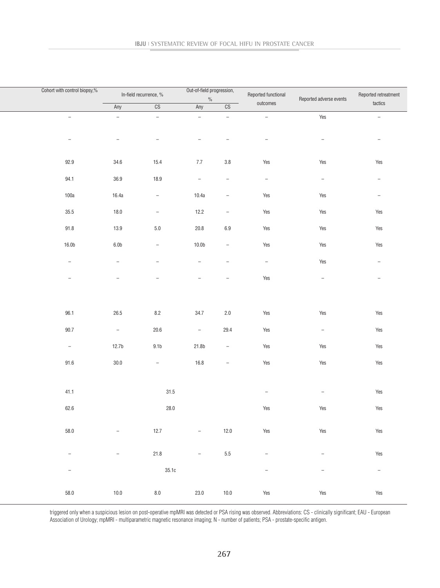| Cohort with control biopsy,% | In-field recurrence, %   |                                 | Out-of-field progression,<br>$\%$ |                          | Reported functional             | Reported adverse events  | Reported retreatment     |  |
|------------------------------|--------------------------|---------------------------------|-----------------------------------|--------------------------|---------------------------------|--------------------------|--------------------------|--|
|                              | Any                      | $\overline{\text{CS}}$          | Any                               | CS                       | outcomes                        |                          | tactics                  |  |
| $\overline{\phantom{a}}$     | $\overline{\phantom{a}}$ | $\overline{\phantom{a}}$        | $\overline{\phantom{a}}$          | $\overline{\phantom{a}}$ | $\equiv$                        | Yes                      | $\sim$                   |  |
| $\overline{\phantom{a}}$     | $\overline{\phantom{0}}$ | $\overline{\phantom{a}}$        | $\overline{\phantom{a}}$          |                          | $\overline{\phantom{a}}$        | $\overline{\phantom{m}}$ | $\sim$                   |  |
| 92.9                         | 34.6                     | 15.4                            | 7.7                               | 3.8                      | Yes                             | Yes                      | Yes                      |  |
| 94.1                         | 36.9                     | 18.9                            | $\overline{\phantom{a}}$          | $\overline{\phantom{a}}$ | $\overline{\phantom{a}}$        | $\overline{\phantom{a}}$ | $\overline{\phantom{a}}$ |  |
| 100a                         | 16.4a                    | $\sim$                          | 10.4a                             | $\overline{\phantom{a}}$ | Yes                             | Yes                      | $\sim$                   |  |
| 35.5                         | 18.0                     | $\sim$                          | 12.2                              | $\overline{\phantom{a}}$ | Yes                             | Yes                      | Yes                      |  |
| 91.8                         | 13.9                     | $5.0\,$                         | $20.8\,$                          | $6.9\,$                  | Yes                             | Yes                      | Yes                      |  |
| 16.0b                        | 6.0 <sub>b</sub>         | $\hspace{0.1mm}-\hspace{0.1mm}$ | 10.0 <sub>b</sub>                 | $\sim$                   | Yes                             | Yes                      | Yes                      |  |
| $ \,$                        | $\overline{\phantom{a}}$ | $\overline{\phantom{a}}$        | $\overline{\phantom{a}}$          | $\overline{\phantom{a}}$ | $\hspace{0.1mm}-\hspace{0.1mm}$ | Yes                      | $\overline{\phantom{m}}$ |  |
| $\overline{\phantom{0}}$     | $\overline{\phantom{0}}$ |                                 | $\overline{\phantom{a}}$          | $\overline{\phantom{0}}$ | Yes                             | $\overline{\phantom{a}}$ | $\overline{\phantom{a}}$ |  |
|                              |                          |                                 |                                   |                          |                                 |                          |                          |  |
| 96.1                         | 26.5                     | 8.2                             | 34.7                              | 2.0                      | Yes                             | Yes                      | Yes                      |  |
| $90.7\,$                     | $\sim$                   | $20.6\,$                        | $\overline{\phantom{a}}$          | 29.4                     | Yes                             | $\overline{\phantom{a}}$ | Yes                      |  |
| $\equiv$                     | 12.7 <sub>b</sub>        | 9.1 <sub>b</sub>                | 21.8b                             | $\equiv$                 | Yes                             | Yes                      | Yes                      |  |
| 91.6                         | 30.0                     | $\overline{\phantom{a}}$        | $16.8$                            | $-$                      | Yes                             | Yes                      | Yes                      |  |
| 41.1                         |                          | $31.5\,$                        |                                   |                          | $\overline{\phantom{m}}$        | $\overline{\phantom{a}}$ | Yes                      |  |
| 62.6                         |                          | $28.0\,$                        |                                   |                          | Yes                             | Yes                      | Yes                      |  |
|                              |                          |                                 |                                   |                          |                                 |                          |                          |  |
| 58.0                         | $\sim$                   | 12.7                            | $\equiv$                          | $12.0$                   | Yes                             | Yes                      | Yes                      |  |
| $ \,$                        | $\sim$                   | 21.8                            | $\overline{\phantom{a}}$          | 5.5                      | $\overline{\phantom{a}}$        | $\sim$                   | Yes                      |  |
| $\overline{\phantom{a}}$     |                          | 35.1c                           |                                   |                          | $\equiv$                        | $\overline{\phantom{a}}$ | $\sim$                   |  |
| $58.0\,$                     | 10.0                     | 8.0                             | 23.0                              | 10.0                     | Yes                             | Yes                      | Yes                      |  |

triggered only when a suspicious lesion on post-operative mpMRI was detected or PSA rising was observed. Abbreviations: CS - clinically significant; EAU - European Association of Urology; mpMRI - multiparametric magnetic resonance imaging; N - number of patients; PSA - prostate-specific antigen.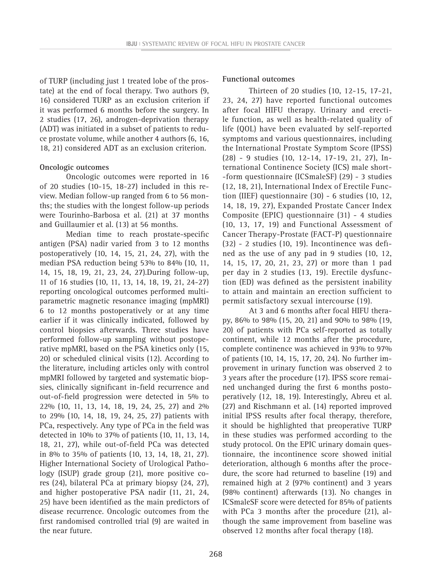of TURP (including just 1 treated lobe of the prostate) at the end of focal therapy. Two authors (9, 16) considered TURP as an exclusion criterion if it was performed 6 months before the surgery. In 2 studies (17, 26), androgen-deprivation therapy (ADT) was initiated in a subset of patients to reduce prostate volume, while another 4 authors (6, 16, 18, 21) considered ADT as an exclusion criterion.

#### **Oncologic outcomes**

Oncologic outcomes were reported in 16 of 20 studies (10-15, 18-27) included in this review. Median follow-up ranged from 6 to 56 months; the studies with the longest follow-up periods were Tourinho-Barbosa et al. (21) at 37 months and Guillaumier et al. (13) at 56 months.

Median time to reach prostate-specific antigen (PSA) nadir varied from 3 to 12 months postoperatively (10, 14, 15, 21, 24, 27), with the median PSA reduction being 53% to 84% (10, 11, 14, 15, 18, 19, 21, 23, 24, 27).During follow-up, 11 of 16 studies (10, 11, 13, 14, 18, 19, 21, 24-27) reporting oncological outcomes performed multiparametric magnetic resonance imaging (mpMRI) 6 to 12 months postoperatively or at any time earlier if it was clinically indicated, followed by control biopsies afterwards. Three studies have performed follow-up sampling without postoperative mpMRI, based on the PSA kinetics only (15, 20) or scheduled clinical visits (12). According to the literature, including articles only with control mpMRI followed by targeted and systematic biopsies, clinically significant in-field recurrence and out-of-field progression were detected in 5% to 22% (10, 11, 13, 14, 18, 19, 24, 25, 27) and 2% to 29% (10, 14, 18, 19, 24, 25, 27) patients with PCa, respectively. Any type of PCa in the field was detected in 10% to 37% of patients (10, 11, 13, 14, 18, 21, 27), while out-of-field PCa was detected in 8% to 35% of patients (10, 13, 14, 18, 21, 27). Higher International Society of Urological Pathology (ISUP) grade group (21), more positive cores (24), bilateral PCa at primary biopsy (24, 27), and higher postoperative PSA nadir (11, 21, 24, 25) have been identified as the main predictors of disease recurrence. Oncologic outcomes from the first randomised controlled trial (9) are waited in the near future.

#### **Functional outcomes**

Thirteen of 20 studies (10, 12-15, 17-21, 23, 24, 27) have reported functional outcomes after focal HIFU therapy. Urinary and erectile function, as well as health-related quality of life (QOL) have been evaluated by self-reported symptoms and various questionnaires, including the International Prostate Symptom Score (IPSS) (28) - 9 studies (10, 12-14, 17-19, 21, 27), International Continence Society (ICS) male short- -form questionnaire (ICSmaleSF) (29) - 3 studies (12, 18, 21), International Index of Erectile Function (IIEF) questionnaire (30) - 6 studies (10, 12, 14, 18, 19, 27), Expanded Prostate Cancer Index Composite (EPIC) questionnaire (31) - 4 studies (10, 13, 17, 19) and Functional Assessment of Cancer Therapy-Prostate (FACT-P) questionnaire (32) - 2 studies (10, 19). Incontinence was defined as the use of any pad in 9 studies (10, 12, 14, 15, 17, 20, 21, 23, 27) or more than 1 pad per day in 2 studies (13, 19). Erectile dysfunction (ED) was defined as the persistent inability to attain and maintain an erection sufficient to permit satisfactory sexual intercourse (19).

At 3 and 6 months after focal HIFU therapy, 86% to 98% (15, 20, 21) and 90% to 98% (19, 20) of patients with PCa self-reported as totally continent, while 12 months after the procedure, complete continence was achieved in 93% to 97% of patients (10, 14, 15, 17, 20, 24). No further improvement in urinary function was observed 2 to 3 years after the procedure (17). IPSS score remained unchanged during the first 6 months postoperatively (12, 18, 19). Interestingly, Abreu et al. (27) and Rischmann et al. (14) reported improved initial IPSS results after focal therapy, therefore, it should be highlighted that preoperative TURP in these studies was performed according to the study protocol. On the EPIC urinary domain questionnaire, the incontinence score showed initial deterioration, although 6 months after the procedure, the score had returned to baseline (19) and remained high at 2 (97% continent) and 3 years (98% continent) afterwards (13). No changes in ICSmaleSF score were detected for 85% of patients with PCa 3 months after the procedure (21), although the same improvement from baseline was observed 12 months after focal therapy (18).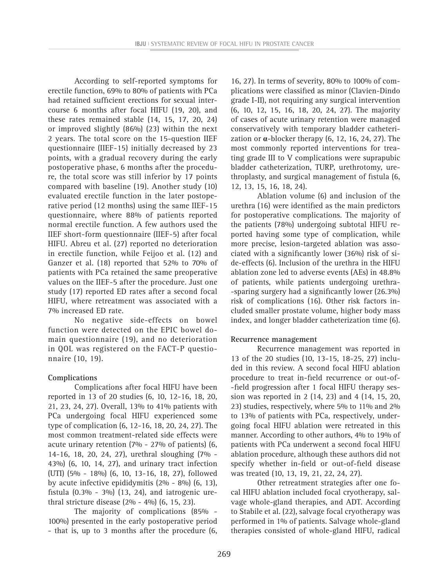According to self-reported symptoms for erectile function, 69% to 80% of patients with PCa had retained sufficient erections for sexual intercourse 6 months after focal HIFU (19, 20), and these rates remained stable (14, 15, 17, 20, 24) or improved slightly (86%) (23) within the next 2 years. The total score on the 15-question IIEF questionnaire (IIEF-15) initially decreased by 23 points, with a gradual recovery during the early postoperative phase, 6 months after the procedure, the total score was still inferior by 17 points compared with baseline (19). Another study (10) evaluated erectile function in the later postoperative period (12 months) using the same IIEF-15 questionnaire, where 88% of patients reported normal erectile function. A few authors used the IIEF short-form questionnaire (IIEF-5) after focal HIFU. Abreu et al. (27) reported no deterioration in erectile function, while Feijoo et al. (12) and Ganzer et al. (18) reported that 52% to 70% of patients with PCa retained the same preoperative values on the IIEF-5 after the procedure. Just one study (17) reported ED rates after a second focal HIFU, where retreatment was associated with a 7% increased ED rate.

No negative side-effects on bowel function were detected on the EPIC bowel domain questionnaire (19), and no deterioration in QOL was registered on the FACT-P questionnaire (10, 19).

#### **Complications**

Complications after focal HIFU have been reported in 13 of 20 studies (6, 10, 12-16, 18, 20, 21, 23, 24, 27). Overall, 13% to 41% patients with PCa undergoing focal HIFU experienced some type of complication (6, 12-16, 18, 20, 24, 27). The most common treatment-related side effects were acute urinary retention (7% - 27% of patients) (6, 14-16, 18, 20, 24, 27), urethral sloughing (7% - 43%) (6, 10, 14, 27), and urinary tract infection (UTI) (5% - 18%) (6, 10, 13-16, 18, 27), followed by acute infective epididymitis (2% - 8%) (6, 13), fistula  $(0.3\% - 3\%)$  (13, 24), and iatrogenic urethral stricture disease (2% - 4%) (6, 15, 23).

The majority of complications (85% - 100%) presented in the early postoperative period - that is, up to 3 months after the procedure (6,

16, 27). In terms of severity, 80% to 100% of complications were classified as minor (Clavien-Dindo grade I-II), not requiring any surgical intervention (6, 10, 12, 15, 16, 18, 20, 24, 27). The majority of cases of acute urinary retention were managed conservatively with temporary bladder catheterization or **α**-blocker therapy (6, 12, 16, 24, 27). The most commonly reported interventions for treating grade III to V complications were suprapubic bladder catheterization, TURP, urethrotomy, urethroplasty, and surgical management of fistula (6, 12, 13, 15, 16, 18, 24).

Ablation volume (6) and inclusion of the urethra (16) were identified as the main predictors for postoperative complications. The majority of the patients (78%) undergoing subtotal HIFU reported having some type of complication, while more precise, lesion-targeted ablation was associated with a significantly lower (36%) risk of side-effects (6). Inclusion of the urethra in the HIFU ablation zone led to adverse events (AEs) in 48.8% of patients, while patients undergoing urethra- -sparing surgery had a significantly lower (26.3%) risk of complications (16). Other risk factors included smaller prostate volume, higher body mass index, and longer bladder catheterization time (6).

#### **Recurrence management**

Recurrence management was reported in 13 of the 20 studies (10, 13-15, 18-25, 27) included in this review. A second focal HIFU ablation procedure to treat in-field recurrence or out-of- -field progression after 1 focal HIFU therapy session was reported in 2 (14, 23) and 4 (14, 15, 20, 23) studies, respectively, where 5% to 11% and 2% to 13% of patients with PCa, respectively, undergoing focal HIFU ablation were retreated in this manner. According to other authors, 4% to 19% of patients with PCa underwent a second focal HIFU ablation procedure, although these authors did not specify whether in-field or out-of-field disease was treated (10, 13, 19, 21, 22, 24, 27).

Other retreatment strategies after one focal HIFU ablation included focal cryotherapy, salvage whole-gland therapies, and ADT. According to Stabile et al. (22), salvage focal cryotherapy was performed in 1% of patients. Salvage whole-gland therapies consisted of whole-gland HIFU, radical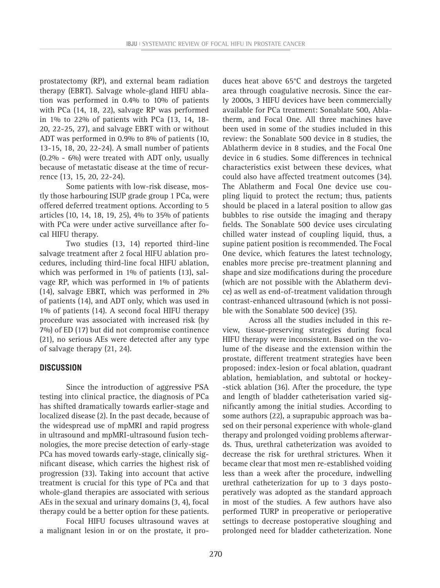prostatectomy (RP), and external beam radiation therapy (EBRT). Salvage whole-gland HIFU ablation was performed in 0.4% to 10% of patients with PCa (14, 18, 22), salvage RP was performed in 1% to 22% of patients with PCa (13, 14, 18- 20, 22-25, 27), and salvage EBRT with or without ADT was performed in 0.9% to 8% of patients (10, 13-15, 18, 20, 22-24). A small number of patients (0.2% - 6%) were treated with ADT only, usually because of metastatic disease at the time of recurrence (13, 15, 20, 22-24).

Some patients with low-risk disease, mostly those harbouring ISUP grade group 1 PCa, were offered deferred treatment options. According to 5 articles (10, 14, 18, 19, 25), 4% to 35% of patients with PCa were under active surveillance after focal HIFU therapy.

Two studies (13, 14) reported third-line salvage treatment after 2 focal HIFU ablation procedures, including third-line focal HIFU ablation, which was performed in 1% of patients (13), salvage RP, which was performed in 1% of patients (14), salvage EBRT, which was performed in 2% of patients (14), and ADT only, which was used in 1% of patients (14). A second focal HIFU therapy procedure was associated with increased risk (by 7%) of ED (17) but did not compromise continence (21), no serious AEs were detected after any type of salvage therapy (21, 24).

#### **DISCUSSION**

Since the introduction of aggressive PSA testing into clinical practice, the diagnosis of PCa has shifted dramatically towards earlier-stage and localized disease (2). In the past decade, because of the widespread use of mpMRI and rapid progress in ultrasound and mpMRI-ultrasound fusion technologies, the more precise detection of early-stage PCa has moved towards early-stage, clinically significant disease, which carries the highest risk of progression (33). Taking into account that active treatment is crucial for this type of PCa and that whole-gland therapies are associated with serious AEs in the sexual and urinary domains (3, 4), focal therapy could be a better option for these patients.

Focal HIFU focuses ultrasound waves at a malignant lesion in or on the prostate, it pro-

duces heat above 65°C and destroys the targeted area through coagulative necrosis. Since the early 2000s, 3 HIFU devices have been commercially available for PCa treatment: Sonablate 500, Ablatherm, and Focal One. All three machines have been used in some of the studies included in this review: the Sonablate 500 device in 8 studies, the Ablatherm device in 8 studies, and the Focal One device in 6 studies. Some differences in technical characteristics exist between these devices, what could also have affected treatment outcomes (34). The Ablatherm and Focal One device use coupling liquid to protect the rectum; thus, patients should be placed in a lateral position to allow gas bubbles to rise outside the imaging and therapy fields. The Sonablate 500 device uses circulating chilled water instead of coupling liquid, thus, a supine patient position is recommended. The Focal One device, which features the latest technology, enables more precise pre-treatment planning and shape and size modifications during the procedure (which are not possible with the Ablatherm device) as well as end-of-treatment validation through contrast-enhanced ultrasound (which is not possible with the Sonablate 500 device) (35).

Across all the studies included in this review, tissue-preserving strategies during focal HIFU therapy were inconsistent. Based on the volume of the disease and the extension within the prostate, different treatment strategies have been proposed: index-lesion or focal ablation, quadrant ablation, hemiablation, and subtotal or hockey- -stick ablation (36). After the procedure, the type and length of bladder catheterisation varied significantly among the initial studies. According to some authors (22), a suprapubic approach was based on their personal experience with whole-gland therapy and prolonged voiding problems afterwards. Thus, urethral catheterization was avoided to decrease the risk for urethral strictures. When it became clear that most men re-established voiding less than a week after the procedure, indwelling urethral catheterization for up to 3 days postoperatively was adopted as the standard approach in most of the studies. A few authors have also performed TURP in preoperative or perioperative settings to decrease postoperative sloughing and prolonged need for bladder catheterization. None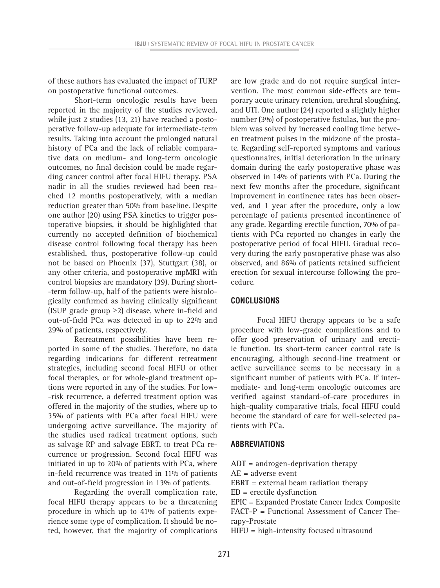of these authors has evaluated the impact of TURP on postoperative functional outcomes.

Short-term oncologic results have been reported in the majority of the studies reviewed, while just 2 studies (13, 21) have reached a postoperative follow-up adequate for intermediate-term results. Taking into account the prolonged natural history of PCa and the lack of reliable comparative data on medium- and long-term oncologic outcomes, no final decision could be made regarding cancer control after focal HIFU therapy. PSA nadir in all the studies reviewed had been reached 12 months postoperatively, with a median reduction greater than 50% from baseline. Despite one author (20) using PSA kinetics to trigger postoperative biopsies, it should be highlighted that currently no accepted definition of biochemical disease control following focal therapy has been established, thus, postoperative follow-up could not be based on Phoenix (37), Stuttgart (38), or any other criteria, and postoperative mpMRI with control biopsies are mandatory (39). During short- -term follow-up, half of the patients were histologically confirmed as having clinically significant (ISUP grade group  $\geq$ 2) disease, where in-field and out-of-field PCa was detected in up to 22% and 29% of patients, respectively.

Retreatment possibilities have been reported in some of the studies. Therefore, no data regarding indications for different retreatment strategies, including second focal HIFU or other focal therapies, or for whole-gland treatment options were reported in any of the studies. For low- -risk recurrence, a deferred treatment option was offered in the majority of the studies, where up to 35% of patients with PCa after focal HIFU were undergoing active surveillance. The majority of the studies used radical treatment options, such as salvage RP and salvage EBRT, to treat PCa recurrence or progression. Second focal HIFU was initiated in up to 20% of patients with PCa, where in-field recurrence was treated in 11% of patients and out-of-field progression in 13% of patients.

Regarding the overall complication rate, focal HIFU therapy appears to be a threatening procedure in which up to 41% of patients experience some type of complication. It should be noted, however, that the majority of complications

are low grade and do not require surgical intervention. The most common side-effects are temporary acute urinary retention, urethral sloughing, and UTI. One author (24) reported a slightly higher number (3%) of postoperative fistulas, but the problem was solved by increased cooling time between treatment pulses in the midzone of the prostate. Regarding self-reported symptoms and various questionnaires, initial deterioration in the urinary domain during the early postoperative phase was observed in 14% of patients with PCa. During the next few months after the procedure, significant improvement in continence rates has been observed, and 1 year after the procedure, only a low percentage of patients presented incontinence of any grade. Regarding erectile function, 70% of patients with PCa reported no changes in early the postoperative period of focal HIFU. Gradual recovery during the early postoperative phase was also observed, and 86% of patients retained sufficient erection for sexual intercourse following the procedure.

#### **CONCLUSIONS**

Focal HIFU therapy appears to be a safe procedure with low-grade complications and to offer good preservation of urinary and erectile function. Its short-term cancer control rate is encouraging, although second-line treatment or active surveillance seems to be necessary in a significant number of patients with PCa. If intermediate- and long-term oncologic outcomes are verified against standard-of-care procedures in high-quality comparative trials, focal HIFU could become the standard of care for well-selected patients with PCa.

#### **ABBREVIATIONS**

**ADT** = androgen-deprivation therapy

**AE** = adverse event

**EBRT** = external beam radiation therapy

**ED** = erectile dysfunction

**EPIC** = Expanded Prostate Cancer Index Composite **FACT-P** = Functional Assessment of Cancer Therapy-Prostate

**HIFU** = high-intensity focused ultrasound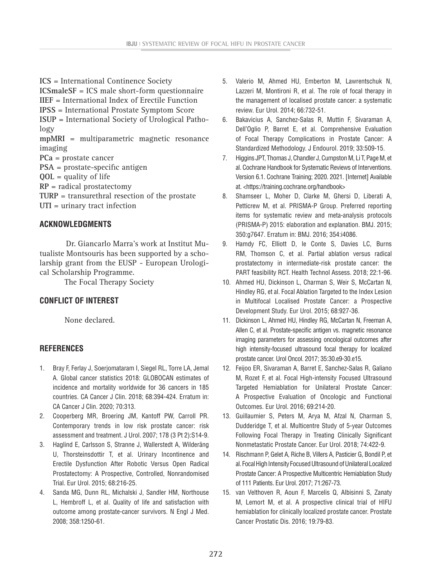**ICS** = International Continence Society **ICSmaleSF** = ICS male short-form questionnaire **IIEF** = International Index of Erectile Function **IPSS** = International Prostate Symptom Score **ISUP** = International Society of Urological Pathology **mpMRI** = multiparametric magnetic resonance imaging **PCa** = prostate cancer **PSA** = prostate-specific antigen **QOL** = quality of life **RP** = radical prostatectomy **TURP** = transurethral resection of the prostate **UTI** = urinary tract infection

## **ACKNOWLEDGMENTS**

Dr. Giancarlo Marra's work at Institut Mutualiste Montsouris has been supported by a scholarship grant from the EUSP - European Urological Scholarship Programme.

The Focal Therapy Society

# **CONFLICT OF INTEREST**

None declared.

# **REFERENCES**

- 1. Bray F, Ferlay J, Soerjomataram I, Siegel RL, Torre LA, Jemal A. Global cancer statistics 2018: GLOBOCAN estimates of incidence and mortality worldwide for 36 cancers in 185 countries. CA Cancer J Clin. 2018; 68:394-424. Erratum in: CA Cancer J Clin. 2020; 70:313.
- 2. Cooperberg MR, Broering JM, Kantoff PW, Carroll PR. Contemporary trends in low risk prostate cancer: risk assessment and treatment. J Urol. 2007; 178 (3 Pt 2):S14-9.
- 3. Haglind E, Carlsson S, Stranne J, Wallerstedt A, Wilderäng U, Thorsteinsdottir T, et al. Urinary Incontinence and Erectile Dysfunction After Robotic Versus Open Radical Prostatectomy: A Prospective, Controlled, Nonrandomised Trial. Eur Urol. 2015; 68:216-25.
- 4. Sanda MG, Dunn RL, Michalski J, Sandler HM, Northouse L, Hembroff L, et al. Quality of life and satisfaction with outcome among prostate-cancer survivors. N Engl J Med. 2008; 358:1250-61.
- 5. Valerio M, Ahmed HU, Emberton M, Lawrentschuk N, Lazzeri M, Montironi R, et al. The role of focal therapy in the management of localised prostate cancer: a systematic review. Eur Urol. 2014; 66:732-51.
- 6. Bakavicius A, Sanchez-Salas R, Muttin F, Sivaraman A, Dell'Oglio P, Barret E, et al. Comprehensive Evaluation of Focal Therapy Complications in Prostate Cancer: A Standardized Methodology. J Endourol. 2019; 33:509-15.
- 7. Higgins JPT, Thomas J, Chandler J, Cumpston M, Li T, Page M, et al. Cochrane Handbook for Systematic Reviews of Interventions. Version 6.1. Cochrane Training; 2020. 2021. [Internet] Available at. <https://training.cochrane.org/handbook>
- 8. Shamseer L, Moher D, Clarke M, Ghersi D, Liberati A, Petticrew M, et al. PRISMA-P Group. Preferred reporting items for systematic review and meta-analysis protocols (PRISMA-P) 2015: elaboration and explanation. BMJ. 2015; 350:g7647. Erratum in: BMJ. 2016; 354:i4086.
- 9. Hamdy FC, Elliott D, le Conte S, Davies LC, Burns RM, Thomson C, et al. Partial ablation versus radical prostatectomy in intermediate-risk prostate cancer: the PART feasibility RCT. Health Technol Assess. 2018; 22:1-96.
- 10. Ahmed HU, Dickinson L, Charman S, Weir S, McCartan N, Hindley RG, et al. Focal Ablation Targeted to the Index Lesion in Multifocal Localised Prostate Cancer: a Prospective Development Study. Eur Urol. 2015; 68:927-36.
- 11. Dickinson L, Ahmed HU, Hindley RG, McCartan N, Freeman A, Allen C, et al. Prostate-specific antigen vs. magnetic resonance imaging parameters for assessing oncological outcomes after high intensity-focused ultrasound focal therapy for localized prostate cancer. Urol Oncol. 2017; 35:30.e9-30.e15.
- 12. Feijoo ER, Sivaraman A, Barret E, Sanchez-Salas R, Galiano M, Rozet F, et al. Focal High-intensity Focused Ultrasound Targeted Hemiablation for Unilateral Prostate Cancer: A Prospective Evaluation of Oncologic and Functional Outcomes. Eur Urol. 2016; 69:214-20.
- 13. Guillaumier S, Peters M, Arya M, Afzal N, Charman S, Dudderidge T, et al. Multicentre Study of 5-year Outcomes Following Focal Therapy in Treating Clinically Significant Nonmetastatic Prostate Cancer. Eur Urol. 2018; 74:422-9.
- 14. Rischmann P, Gelet A, Riche B, Villers A, Pasticier G, Bondil P, et al. Focal High Intensity Focused Ultrasound of Unilateral Localized Prostate Cancer: A Prospective Multicentric Hemiablation Study of 111 Patients. Eur Urol. 2017; 71:267-73.
- 15. van Velthoven R, Aoun F, Marcelis Q, Albisinni S, Zanaty M, Lemort M, et al. A prospective clinical trial of HIFU hemiablation for clinically localized prostate cancer. Prostate Cancer Prostatic Dis. 2016; 19:79-83.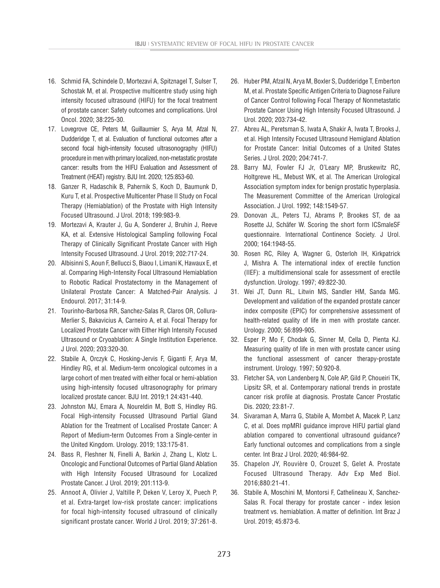- 16. Schmid FA, Schindele D, Mortezavi A, Spitznagel T, Sulser T, Schostak M, et al. Prospective multicentre study using high intensity focused ultrasound (HIFU) for the focal treatment of prostate cancer: Safety outcomes and complications. Urol Oncol. 2020; 38:225-30.
- 17. Lovegrove CE, Peters M, Guillaumier S, Arya M, Afzal N, Dudderidge T, et al. Evaluation of functional outcomes after a second focal high-intensity focused ultrasonography (HIFU) procedure in men with primary localized, non-metastatic prostate cancer: results from the HIFU Evaluation and Assessment of Treatment (HEAT) registry. BJU Int. 2020; 125:853-60.
- 18. Ganzer R, Hadaschik B, Pahernik S, Koch D, Baumunk D, Kuru T, et al. Prospective Multicenter Phase II Study on Focal Therapy (Hemiablation) of the Prostate with High Intensity Focused Ultrasound. J Urol. 2018; 199:983-9.
- 19. Mortezavi A, Krauter J, Gu A, Sonderer J, Bruhin J, Reeve KA, et al. Extensive Histological Sampling following Focal Therapy of Clinically Significant Prostate Cancer with High Intensity Focused Ultrasound. J Urol. 2019; 202:717-24.
- 20. Albisinni S, Aoun F, Bellucci S, Biaou I, Limani K, Hawaux E, et al. Comparing High-Intensity Focal Ultrasound Hemiablation to Robotic Radical Prostatectomy in the Management of Unilateral Prostate Cancer: A Matched-Pair Analysis. J Endourol. 2017; 31:14-9.
- 21. Tourinho-Barbosa RR, Sanchez-Salas R, Claros OR, Collura-Merlier S, Bakavicius A, Carneiro A, et al. Focal Therapy for Localized Prostate Cancer with Either High Intensity Focused Ultrasound or Cryoablation: A Single Institution Experience. J Urol. 2020; 203:320-30.
- 22. Stabile A, Orczyk C, Hosking-Jervis F, Giganti F, Arya M, Hindley RG, et al. Medium-term oncological outcomes in a large cohort of men treated with either focal or hemi-ablation using high-intensity focused ultrasonography for primary localized prostate cancer. BJU Int. 2019;1 24:431-440.
- 23. Johnston MJ, Emara A, Noureldin M, Bott S, Hindley RG. Focal High-intensity Focussed Ultrasound Partial Gland Ablation for the Treatment of Localised Prostate Cancer: A Report of Medium-term Outcomes From a Single-center in the United Kingdom. Urology. 2019; 133:175-81.
- 24. Bass R, Fleshner N, Finelli A, Barkin J, Zhang L, Klotz L. Oncologic and Functional Outcomes of Partial Gland Ablation with High Intensity Focused Ultrasound for Localized Prostate Cancer. J Urol. 2019; 201:113-9.
- 25. Annoot A, Olivier J, Valtille P, Deken V, Leroy X, Puech P, et al. Extra-target low-risk prostate cancer: implications for focal high-intensity focused ultrasound of clinically significant prostate cancer. World J Urol. 2019; 37:261-8.
- 26. Huber PM, Afzal N, Arya M, Boxler S, Dudderidge T, Emberton M, et al. Prostate Specific Antigen Criteria to Diagnose Failure of Cancer Control following Focal Therapy of Nonmetastatic Prostate Cancer Using High Intensity Focused Ultrasound. J Urol. 2020; 203:734-42.
- 27. Abreu AL, Peretsman S, Iwata A, Shakir A, Iwata T, Brooks J, et al. High Intensity Focused Ultrasound Hemigland Ablation for Prostate Cancer: Initial Outcomes of a United States Series. J Urol. 2020; 204:741-7.
- 28. Barry MJ, Fowler FJ Jr, O'Leary MP, Bruskewitz RC, Holtgrewe HL, Mebust WK, et al. The American Urological Association symptom index for benign prostatic hyperplasia. The Measurement Committee of the American Urological Association. J Urol. 1992; 148:1549-57.
- 29. Donovan JL, Peters TJ, Abrams P, Brookes ST, de aa Rosette JJ, Schäfer W. Scoring the short form ICSmaleSF questionnaire. International Continence Society. J Urol. 2000; 164:1948-55.
- 30. Rosen RC, Riley A, Wagner G, Osterloh IH, Kirkpatrick J, Mishra A. The international index of erectile function (IIEF): a multidimensional scale for assessment of erectile dysfunction. Urology. 1997; 49:822-30.
- 31. Wei JT, Dunn RL, Litwin MS, Sandler HM, Sanda MG. Development and validation of the expanded prostate cancer index composite (EPIC) for comprehensive assessment of health-related quality of life in men with prostate cancer. Urology. 2000; 56:899-905.
- 32. Esper P, Mo F, Chodak G, Sinner M, Cella D, Pienta KJ. Measuring quality of life in men with prostate cancer using the functional assessment of cancer therapy-prostate instrument. Urology. 1997; 50:920-8.
- 33. Fletcher SA, von Landenberg N, Cole AP, Gild P, Choueiri TK, Lipsitz SR, et al. Contemporary national trends in prostate cancer risk profile at diagnosis. Prostate Cancer Prostatic Dis. 2020; 23:81-7.
- 34. Sivaraman A, Marra G, Stabile A, Mombet A, Macek P, Lanz C, et al. Does mpMRI guidance improve HIFU partial gland ablation compared to conventional ultrasound guidance? Early functional outcomes and complications from a single center. Int Braz J Urol. 2020; 46:984-92.
- 35. Chapelon JY, Rouvière O, Crouzet S, Gelet A. Prostate Focused Ultrasound Therapy. Adv Exp Med Biol. 2016;880:21-41.
- 36. Stabile A, Moschini M, Montorsi F, Cathelineau X, Sanchez-Salas R. Focal therapy for prostate cancer - index lesion treatment vs. hemiablation. A matter of definition. Int Braz J Urol. 2019; 45:873-6.